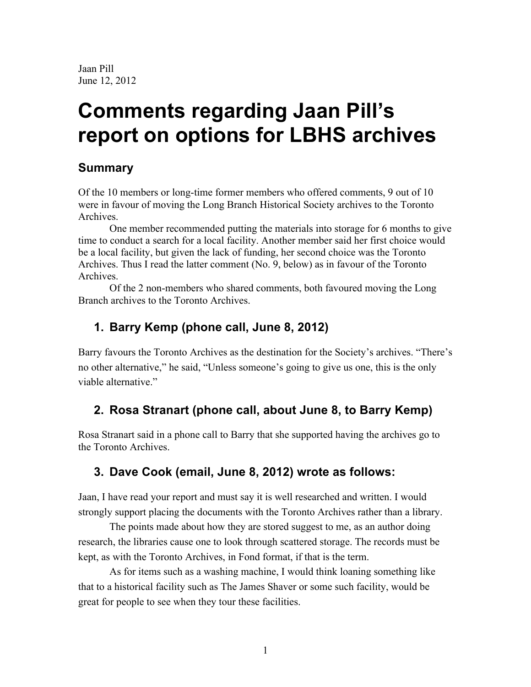Jaan Pill June 12, 2012

# **Comments regarding Jaan Pill's report on options for LBHS archives**

# **Summary**

Of the 10 members or long-time former members who offered comments, 9 out of 10 were in favour of moving the Long Branch Historical Society archives to the Toronto Archives.

One member recommended putting the materials into storage for 6 months to give time to conduct a search for a local facility. Another member said her first choice would be a local facility, but given the lack of funding, her second choice was the Toronto Archives. Thus I read the latter comment (No. 9, below) as in favour of the Toronto Archives.

Of the 2 non-members who shared comments, both favoured moving the Long Branch archives to the Toronto Archives.

# **1. Barry Kemp (phone call, June 8, 2012)**

Barry favours the Toronto Archives as the destination for the Society's archives. "There's no other alternative," he said, "Unless someone's going to give us one, this is the only viable alternative."

# **2. Rosa Stranart (phone call, about June 8, to Barry Kemp)**

Rosa Stranart said in a phone call to Barry that she supported having the archives go to the Toronto Archives.

# **3. Dave Cook (email, June 8, 2012) wrote as follows:**

Jaan, I have read your report and must say it is well researched and written. I would strongly support placing the documents with the Toronto Archives rather than a library.

The points made about how they are stored suggest to me, as an author doing research, the libraries cause one to look through scattered storage. The records must be kept, as with the Toronto Archives, in Fond format, if that is the term.

As for items such as a washing machine, I would think loaning something like that to a historical facility such as The James Shaver or some such facility, would be great for people to see when they tour these facilities.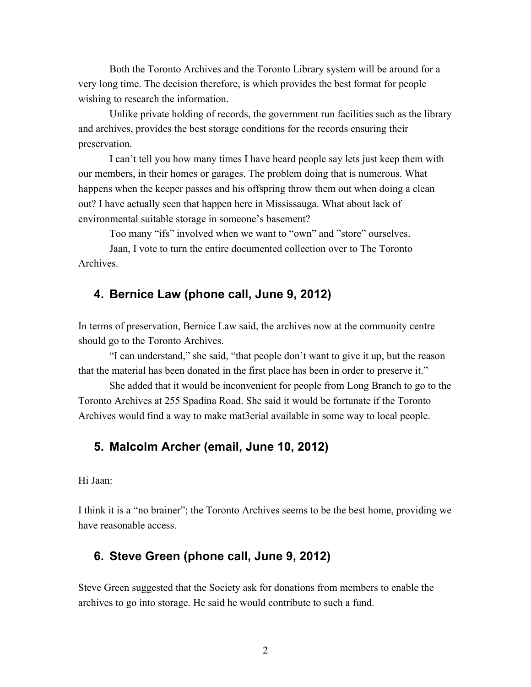Both the Toronto Archives and the Toronto Library system will be around for a very long time. The decision therefore, is which provides the best format for people wishing to research the information.

Unlike private holding of records, the government run facilities such as the library and archives, provides the best storage conditions for the records ensuring their preservation.

I can't tell you how many times I have heard people say lets just keep them with our members, in their homes or garages. The problem doing that is numerous. What happens when the keeper passes and his offspring throw them out when doing a clean out? I have actually seen that happen here in Mississauga. What about lack of environmental suitable storage in someone's basement?

Too many "ifs" involved when we want to "own" and "store" ourselves.

Jaan, I vote to turn the entire documented collection over to The Toronto Archives.

#### **4. Bernice Law (phone call, June 9, 2012)**

In terms of preservation, Bernice Law said, the archives now at the community centre should go to the Toronto Archives.

"I can understand," she said, "that people don't want to give it up, but the reason that the material has been donated in the first place has been in order to preserve it."

She added that it would be inconvenient for people from Long Branch to go to the Toronto Archives at 255 Spadina Road. She said it would be fortunate if the Toronto Archives would find a way to make mat3erial available in some way to local people.

#### **5. Malcolm Archer (email, June 10, 2012)**

Hi Jaan:

I think it is a "no brainer"; the Toronto Archives seems to be the best home, providing we have reasonable access.

#### **6. Steve Green (phone call, June 9, 2012)**

Steve Green suggested that the Society ask for donations from members to enable the archives to go into storage. He said he would contribute to such a fund.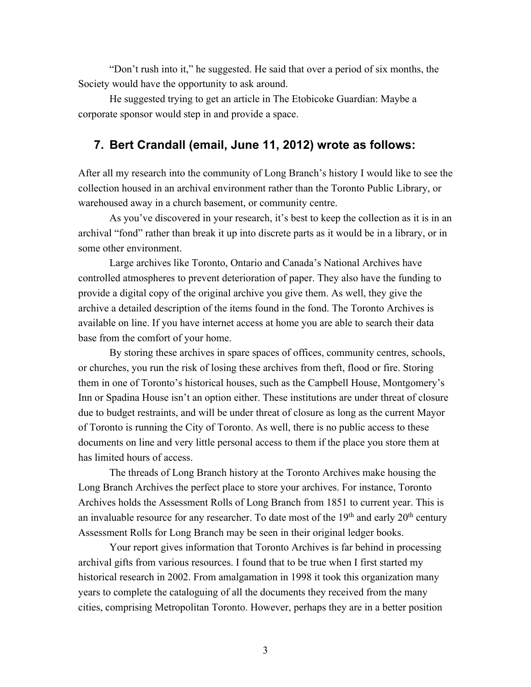"Don't rush into it," he suggested. He said that over a period of six months, the Society would have the opportunity to ask around.

He suggested trying to get an article in The Etobicoke Guardian: Maybe a corporate sponsor would step in and provide a space.

#### **7. Bert Crandall (email, June 11, 2012) wrote as follows:**

After all my research into the community of Long Branch's history I would like to see the collection housed in an archival environment rather than the Toronto Public Library, or warehoused away in a church basement, or community centre.

As you've discovered in your research, it's best to keep the collection as it is in an archival "fond" rather than break it up into discrete parts as it would be in a library, or in some other environment.

Large archives like Toronto, Ontario and Canada's National Archives have controlled atmospheres to prevent deterioration of paper. They also have the funding to provide a digital copy of the original archive you give them. As well, they give the archive a detailed description of the items found in the fond. The Toronto Archives is available on line. If you have internet access at home you are able to search their data base from the comfort of your home.

By storing these archives in spare spaces of offices, community centres, schools, or churches, you run the risk of losing these archives from theft, flood or fire. Storing them in one of Toronto's historical houses, such as the Campbell House, Montgomery's Inn or Spadina House isn't an option either. These institutions are under threat of closure due to budget restraints, and will be under threat of closure as long as the current Mayor of Toronto is running the City of Toronto. As well, there is no public access to these documents on line and very little personal access to them if the place you store them at has limited hours of access.

The threads of Long Branch history at the Toronto Archives make housing the Long Branch Archives the perfect place to store your archives. For instance, Toronto Archives holds the Assessment Rolls of Long Branch from 1851 to current year. This is an invaluable resource for any researcher. To date most of the  $19<sup>th</sup>$  and early  $20<sup>th</sup>$  century Assessment Rolls for Long Branch may be seen in their original ledger books.

Your report gives information that Toronto Archives is far behind in processing archival gifts from various resources. I found that to be true when I first started my historical research in 2002. From amalgamation in 1998 it took this organization many years to complete the cataloguing of all the documents they received from the many cities, comprising Metropolitan Toronto. However, perhaps they are in a better position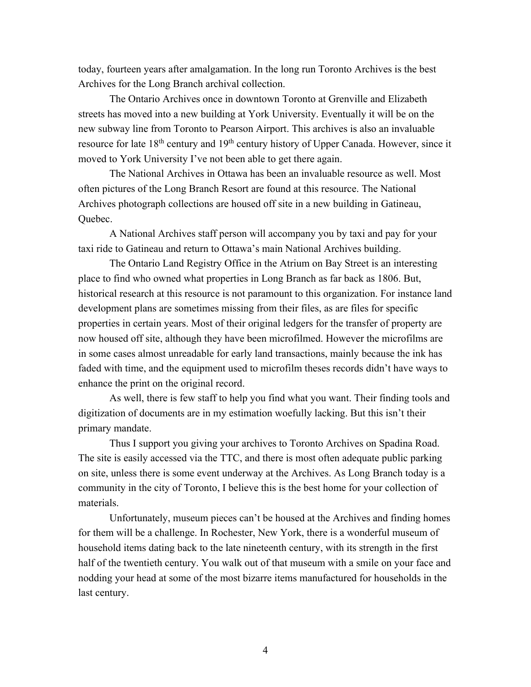today, fourteen years after amalgamation. In the long run Toronto Archives is the best Archives for the Long Branch archival collection.

The Ontario Archives once in downtown Toronto at Grenville and Elizabeth streets has moved into a new building at York University. Eventually it will be on the new subway line from Toronto to Pearson Airport. This archives is also an invaluable resource for late 18<sup>th</sup> century and 19<sup>th</sup> century history of Upper Canada. However, since it moved to York University I've not been able to get there again.

The National Archives in Ottawa has been an invaluable resource as well. Most often pictures of the Long Branch Resort are found at this resource. The National Archives photograph collections are housed off site in a new building in Gatineau, Quebec.

A National Archives staff person will accompany you by taxi and pay for your taxi ride to Gatineau and return to Ottawa's main National Archives building.

The Ontario Land Registry Office in the Atrium on Bay Street is an interesting place to find who owned what properties in Long Branch as far back as 1806. But, historical research at this resource is not paramount to this organization. For instance land development plans are sometimes missing from their files, as are files for specific properties in certain years. Most of their original ledgers for the transfer of property are now housed off site, although they have been microfilmed. However the microfilms are in some cases almost unreadable for early land transactions, mainly because the ink has faded with time, and the equipment used to microfilm theses records didn't have ways to enhance the print on the original record.

As well, there is few staff to help you find what you want. Their finding tools and digitization of documents are in my estimation woefully lacking. But this isn't their primary mandate.

Thus I support you giving your archives to Toronto Archives on Spadina Road. The site is easily accessed via the TTC, and there is most often adequate public parking on site, unless there is some event underway at the Archives. As Long Branch today is a community in the city of Toronto, I believe this is the best home for your collection of materials.

Unfortunately, museum pieces can't be housed at the Archives and finding homes for them will be a challenge. In Rochester, New York, there is a wonderful museum of household items dating back to the late nineteenth century, with its strength in the first half of the twentieth century. You walk out of that museum with a smile on your face and nodding your head at some of the most bizarre items manufactured for households in the last century.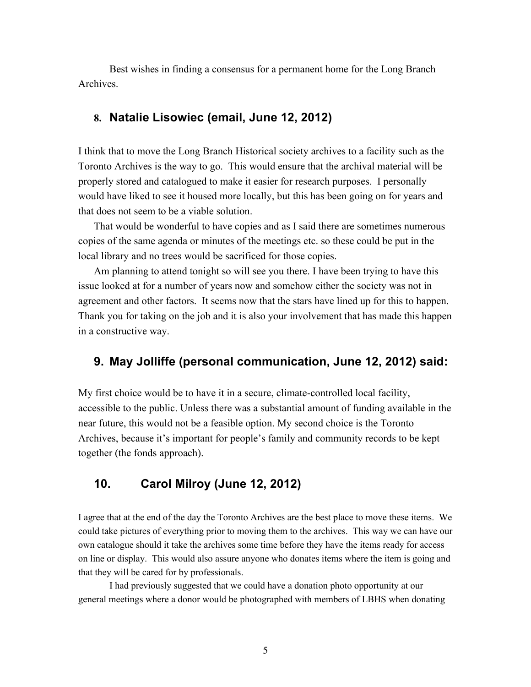Best wishes in finding a consensus for a permanent home for the Long Branch Archives.

#### **8. Natalie Lisowiec (email, June 12, 2012)**

I think that to move the Long Branch Historical society archives to a facility such as the Toronto Archives is the way to go. This would ensure that the archival material will be properly stored and catalogued to make it easier for research purposes. I personally would have liked to see it housed more locally, but this has been going on for years and that does not seem to be a viable solution.

That would be wonderful to have copies and as I said there are sometimes numerous copies of the same agenda or minutes of the meetings etc. so these could be put in the local library and no trees would be sacrificed for those copies.

Am planning to attend tonight so will see you there. I have been trying to have this issue looked at for a number of years now and somehow either the society was not in agreement and other factors. It seems now that the stars have lined up for this to happen. Thank you for taking on the job and it is also your involvement that has made this happen in a constructive way.

#### **9. May Jolliffe (personal communication, June 12, 2012) said:**

My first choice would be to have it in a secure, climate-controlled local facility, accessible to the public. Unless there was a substantial amount of funding available in the near future, this would not be a feasible option. My second choice is the Toronto Archives, because it's important for people's family and community records to be kept together (the fonds approach).

### **10. Carol Milroy (June 12, 2012)**

I agree that at the end of the day the Toronto Archives are the best place to move these items. We could take pictures of everything prior to moving them to the archives. This way we can have our own catalogue should it take the archives some time before they have the items ready for access on line or display. This would also assure anyone who donates items where the item is going and that they will be cared for by professionals.

I had previously suggested that we could have a donation photo opportunity at our general meetings where a donor would be photographed with members of LBHS when donating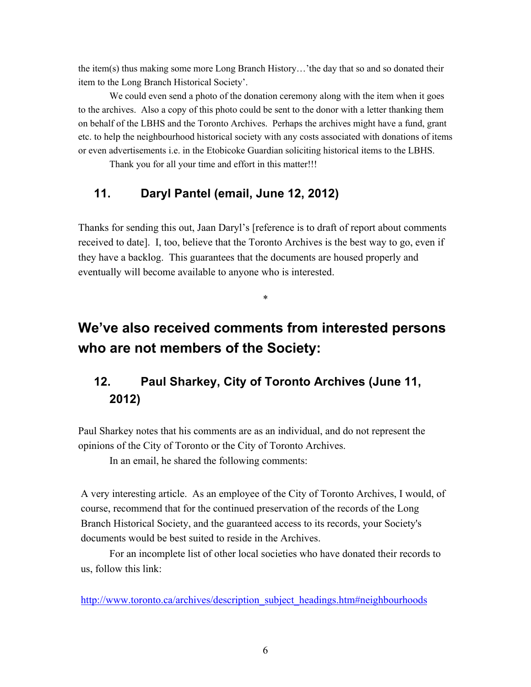the item(s) thus making some more Long Branch History…'the day that so and so donated their item to the Long Branch Historical Society'.

We could even send a photo of the donation ceremony along with the item when it goes to the archives. Also a copy of this photo could be sent to the donor with a letter thanking them on behalf of the LBHS and the Toronto Archives. Perhaps the archives might have a fund, grant etc. to help the neighbourhood historical society with any costs associated with donations of items or even advertisements i.e. in the Etobicoke Guardian soliciting historical items to the LBHS.

Thank you for all your time and effort in this matter!!!

# **11. Daryl Pantel (email, June 12, 2012)**

Thanks for sending this out, Jaan Daryl's [reference is to draft of report about comments received to date]. I, too, believe that the Toronto Archives is the best way to go, even if they have a backlog. This guarantees that the documents are housed properly and eventually will become available to anyone who is interested.

\*

# **We've also received comments from interested persons who are not members of the Society:**

# **12. Paul Sharkey, City of Toronto Archives (June 11, 2012)**

Paul Sharkey notes that his comments are as an individual, and do not represent the opinions of the City of Toronto or the City of Toronto Archives.

In an email, he shared the following comments:

A very interesting article. As an employee of the City of Toronto Archives, I would, of course, recommend that for the continued preservation of the records of the Long Branch Historical Society, and the guaranteed access to its records, your Society's documents would be best suited to reside in the Archives.

For an incomplete list of other local societies who have donated their records to us, follow this link:

http://www.toronto.ca/archives/description\_subject\_headings.htm#neighbourhoods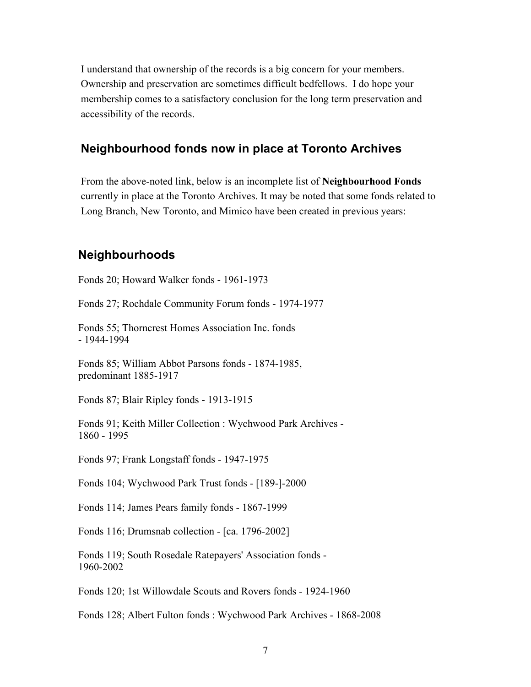I understand that ownership of the records is a big concern for your members. Ownership and preservation are sometimes difficult bedfellows. I do hope your membership comes to a satisfactory conclusion for the long term preservation and accessibility of the records.

#### **Neighbourhood fonds now in place at Toronto Archives**

From the above-noted link, below is an incomplete list of **Neighbourhood Fonds** currently in place at the Toronto Archives. It may be noted that some fonds related to Long Branch, New Toronto, and Mimico have been created in previous years:

#### **Neighbourhoods**

Fonds 20; Howard Walker fonds - 1961-1973

Fonds 27; Rochdale Community Forum fonds - 1974-1977

Fonds 55; Thorncrest Homes Association Inc. fonds - 1944-1994

Fonds 85; William Abbot Parsons fonds - 1874-1985, predominant 1885-1917

Fonds 87; Blair Ripley fonds - 1913-1915

Fonds 91; Keith Miller Collection : Wychwood Park Archives - 1860 - 1995

Fonds 97; Frank Longstaff fonds - 1947-1975

Fonds 104; Wychwood Park Trust fonds - [189-]-2000

Fonds 114; James Pears family fonds - 1867-1999

Fonds 116; Drumsnab collection - [ca. 1796-2002]

Fonds 119; South Rosedale Ratepayers' Association fonds - 1960-2002

Fonds 120; 1st Willowdale Scouts and Rovers fonds - 1924-1960

Fonds 128; Albert Fulton fonds : Wychwood Park Archives - 1868-2008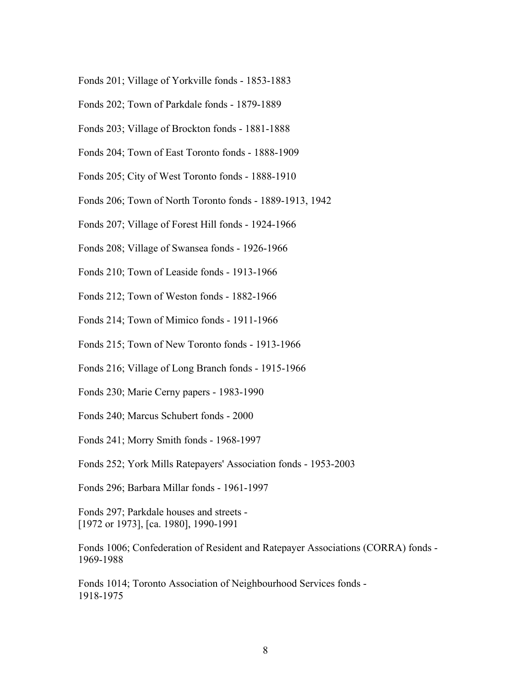- Fonds 201; Village of Yorkville fonds 1853-1883
- Fonds 202; Town of Parkdale fonds 1879-1889
- Fonds 203; Village of Brockton fonds 1881-1888
- Fonds 204; Town of East Toronto fonds 1888-1909
- Fonds 205; City of West Toronto fonds 1888-1910
- Fonds 206; Town of North Toronto fonds 1889-1913, 1942
- Fonds 207; Village of Forest Hill fonds 1924-1966
- Fonds 208; Village of Swansea fonds 1926-1966
- Fonds 210; Town of Leaside fonds 1913-1966
- Fonds 212; Town of Weston fonds 1882-1966
- Fonds 214; Town of Mimico fonds 1911-1966
- Fonds 215; Town of New Toronto fonds 1913-1966
- Fonds 216; Village of Long Branch fonds 1915-1966
- Fonds 230; Marie Cerny papers 1983-1990
- Fonds 240; Marcus Schubert fonds 2000
- Fonds 241; Morry Smith fonds 1968-1997
- Fonds 252; York Mills Ratepayers' Association fonds 1953-2003
- Fonds 296; Barbara Millar fonds 1961-1997

Fonds 297; Parkdale houses and streets - [1972 or 1973], [ca. 1980], 1990-1991

Fonds 1006; Confederation of Resident and Ratepayer Associations (CORRA) fonds - 1969-1988

Fonds 1014; Toronto Association of Neighbourhood Services fonds - 1918-1975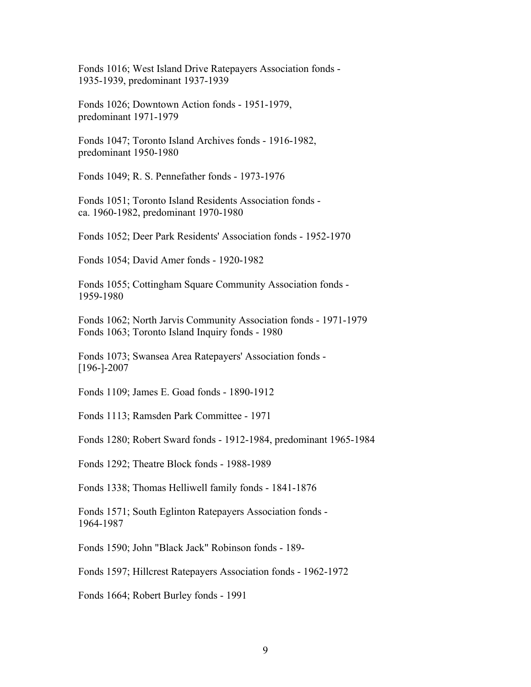Fonds 1016; West Island Drive Ratepayers Association fonds - 1935-1939, predominant 1937-1939

Fonds 1026; Downtown Action fonds - 1951-1979, predominant 1971-1979

Fonds 1047; Toronto Island Archives fonds - 1916-1982, predominant 1950-1980

Fonds 1049; R. S. Pennefather fonds - 1973-1976

Fonds 1051; Toronto Island Residents Association fonds ca. 1960-1982, predominant 1970-1980

Fonds 1052; Deer Park Residents' Association fonds - 1952-1970

Fonds 1054; David Amer fonds - 1920-1982

Fonds 1055; Cottingham Square Community Association fonds - 1959-1980

Fonds 1062; North Jarvis Community Association fonds - 1971-1979 Fonds 1063; Toronto Island Inquiry fonds - 1980

Fonds 1073; Swansea Area Ratepayers' Association fonds - [196-]-2007

Fonds 1109; James E. Goad fonds - 1890-1912

Fonds 1113; Ramsden Park Committee - 1971

Fonds 1280; Robert Sward fonds - 1912-1984, predominant 1965-1984

Fonds 1292; Theatre Block fonds - 1988-1989

Fonds 1338; Thomas Helliwell family fonds - 1841-1876

Fonds 1571; South Eglinton Ratepayers Association fonds - 1964-1987

Fonds 1590; John "Black Jack" Robinson fonds - 189-

Fonds 1597; Hillcrest Ratepayers Association fonds - 1962-1972

Fonds 1664; Robert Burley fonds - 1991